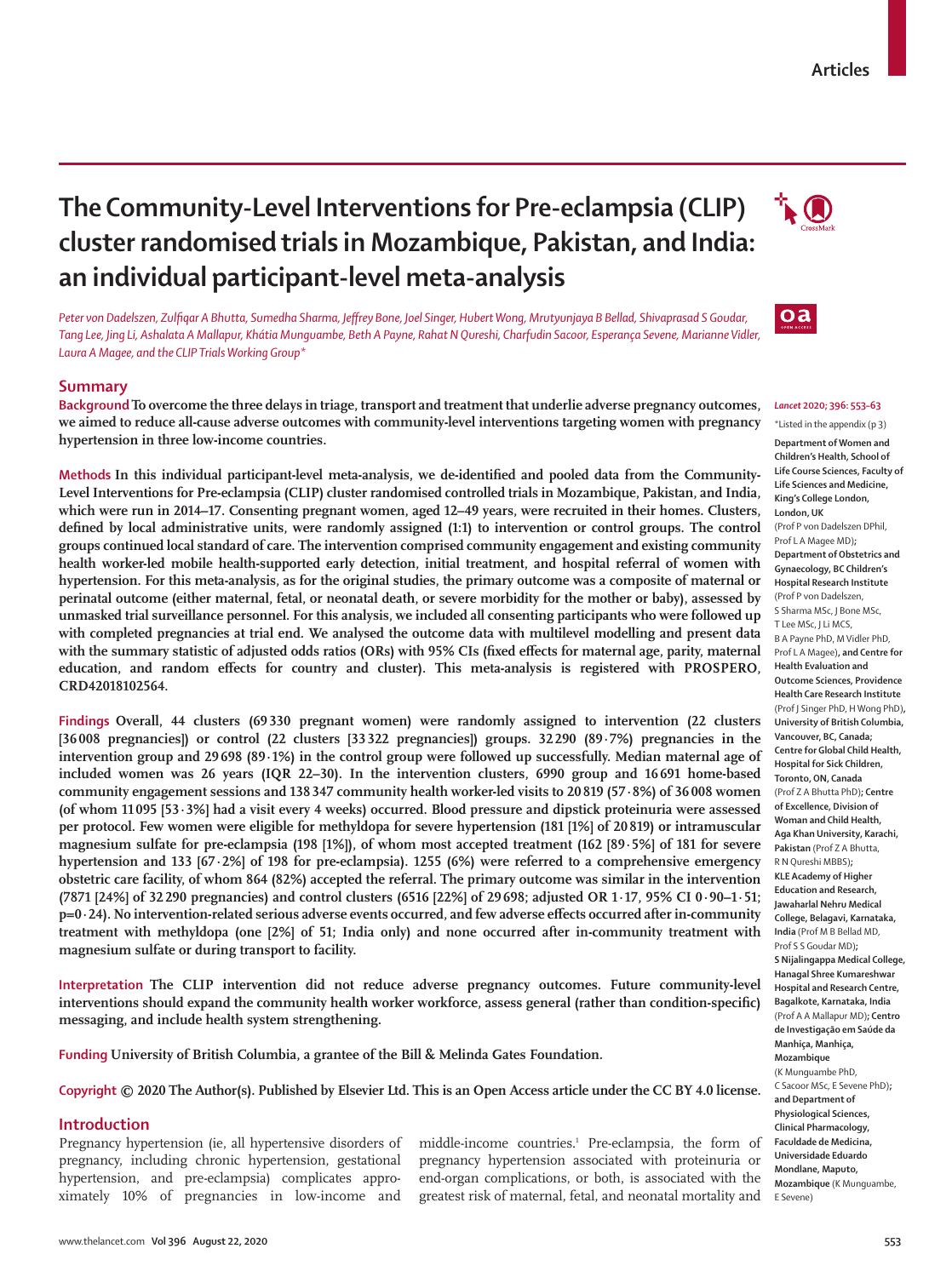# **The Community-Level Interventions for Pre-eclampsia (CLIP) cluster randomised trials in Mozambique, Pakistan, and India: an individual participant-level meta-analysis**

*Peter von Dadelszen, Zulfiqar A Bhutta, Sumedha Sharma, Jeffrey Bone, Joel Singer, Hubert Wong, Mrutyunjaya B Bellad, Shivaprasad S Goudar, Tang Lee, Jing Li, Ashalata A Mallapur, Khátia Munguambe, Beth A Payne, Rahat N Qureshi, Charfudin Sacoor, Esperança Sevene, Marianne Vidler, Laura A Magee, and the CLIP Trials Working Group\**

# **Summary**

**Background To overcome the three delays in triage, transport and treatment that underlie adverse pregnancy outcomes, we aimed to reduce all-cause adverse outcomes with community-level interventions targeting women with pregnancy hypertension in three low-income countries.**

**Methods In this individual participant-level meta-analysis, we de-identified and pooled data from the Community-Level Interventions for Pre-eclampsia (CLIP) cluster randomised controlled trials in Mozambique, Pakistan, and India, which were run in 2014–17. Consenting pregnant women, aged 12–49 years, were recruited in their homes. Clusters,**  defined by local administrative units, were randomly assigned (1:1) to intervention or control groups. The control **groups continued local standard of care. The intervention comprised community engagement and existing community health worker-led mobile health-supported early detection, initial treatment, and hospital referral of women with hypertension. For this meta-analysis, as for the original studies, the primary outcome was a composite of maternal or perinatal outcome (either maternal, fetal, or neonatal death, or severe morbidity for the mother or baby), assessed by unmasked trial surveillance personnel. For this analysis, we included all consenting participants who were followed up with completed pregnancies at trial end. We analysed the outcome data with multilevel modelling and present data**  with the summary statistic of adjusted odds ratios (ORs) with 95% CIs (fixed effects for maternal age, parity, maternal **education, and random effects for country and cluster). This meta-analysis is registered with PROSPERO, CRD42018102564.**

**Findings Overall, 44 clusters (69 330 pregnant women) were randomly assigned to intervention (22 clusters [36 008 pregnancies]) or control (22 clusters [33 322 pregnancies]) groups. 32290 (89·7%) pregnancies in the intervention group and 29698 (89·1%) in the control group were followed up successfully. Median maternal age of included women was 26 years (IQR 22–30). In the intervention clusters, 6990 group and 16691 home-based community engagement sessions and 138 347 community health worker-led visits to 20819 (57·8%) of 36 008 women (of whom 11 095 [53·3%] had a visit every 4 weeks) occurred. Blood pressure and dipstick proteinuria were assessed per protocol. Few women were eligible for methyldopa for severe hypertension (181 [1%] of 20819) or intramuscular magnesium sulfate for pre-eclampsia (198 [1%]), of whom most accepted treatment (162 [89·5%] of 181 for severe hypertension and 133 [67·2%] of 198 for pre-eclampsia). 1255 (6%) were referred to a comprehensive emergency obstetric care facility, of whom 864 (82%) accepted the referral. The primary outcome was similar in the intervention (7871 [24%] of 32 290 pregnancies) and control clusters (6516 [22%] of 29698; adjusted OR 1·17, 95% CI 0·90–1·51; p=0·24). No intervention-related serious adverse events occurred, and few adverse effects occurred after in-community treatment with methyldopa (one [2%] of 51; India only) and none occurred after in-community treatment with magnesium sulfate or during transport to facility.**

**Interpretation The CLIP intervention did not reduce adverse pregnancy outcomes. Future community-level interventions should expand the community health worker workforce, assess general (rather than condition-specific) messaging, and include health system strengthening.**

**Funding University of British Columbia, a grantee of the Bill & Melinda Gates Foundation.**

**Copyright © 2020 The Author(s). Published by Elsevier Ltd. This is an Open Access article under the CC BY 4.0 license.**

# **Introduction**

Pregnancy hypertension (ie, all hypertensive disorders of pregnancy, including chronic hypertension, gestational hypertension, and pre-eclampsia) complicates approximately 10% of pregnancies in low-income and

middle-income countries.<sup>1</sup> Pre-eclampsia, the form of pregnancy hypertension associated with proteinuria or end-organ complications, or both, is associated with the greatest risk of maternal, fetal, and neonatal mortality and

#### *Lancet* **2020; 396: 553–63**

\*Listed in the appendix (p 3)

**Department of Women and Children's Health, School of Life Course Sciences, Faculty of Life Sciences and Medicine, King's College London, London, UK**  (Prof P von Dadelszen DPhil, Prof L A Magee MD)**; Department of Obstetrics and Gynaecology, BC Children's Hospital Research Institute**  (Prof P von Dadelszen, S Sharma MSc, J Bone MSc, T Lee MSc, J Li MCS, B A Payne PhD, M Vidler PhD, Prof L A Magee)**, and Centre for Health Evaluation and Outcome Sciences, Providence Health Care Research Institute**  (Prof J Singer PhD, H Wong PhD)**, University of British Columbia, Vancouver, BC, Canada; Centre for Global Child Health, Hospital for Sick Children, Toronto, ON, Canada**  (Prof Z A Bhutta PhD)**; Centre of Excellence, Division of Woman and Child Health, Aga Khan University, Karachi, Pakistan** (Prof Z A Bhutta, R N Qureshi MBBS)**; KLE Academy of Higher Education and Research, Jawaharlal Nehru Medical College, Belagavi, Karnataka, India** (Prof M B Bellad MD, Prof S S Goudar MD)**; S Nijalingappa Medical College, Hanagal Shree Kumareshwar Hospital and Research Centre, Bagalkote, Karnataka, India**  (Prof A A Mallapur MD)**; Centro de Investigação em Saúde da Manhiça, Manhiça, Mozambique**  (K Munguambe PhD, C Sacoor MSc, E Sevene PhD)**; and Department of Physiological Sciences, Clinical Pharmacology, Faculdade de Medicina, Universidade Eduardo Mondlane, Maputo, Mozambique** (K Munguambe, E Sevene)



 $oa$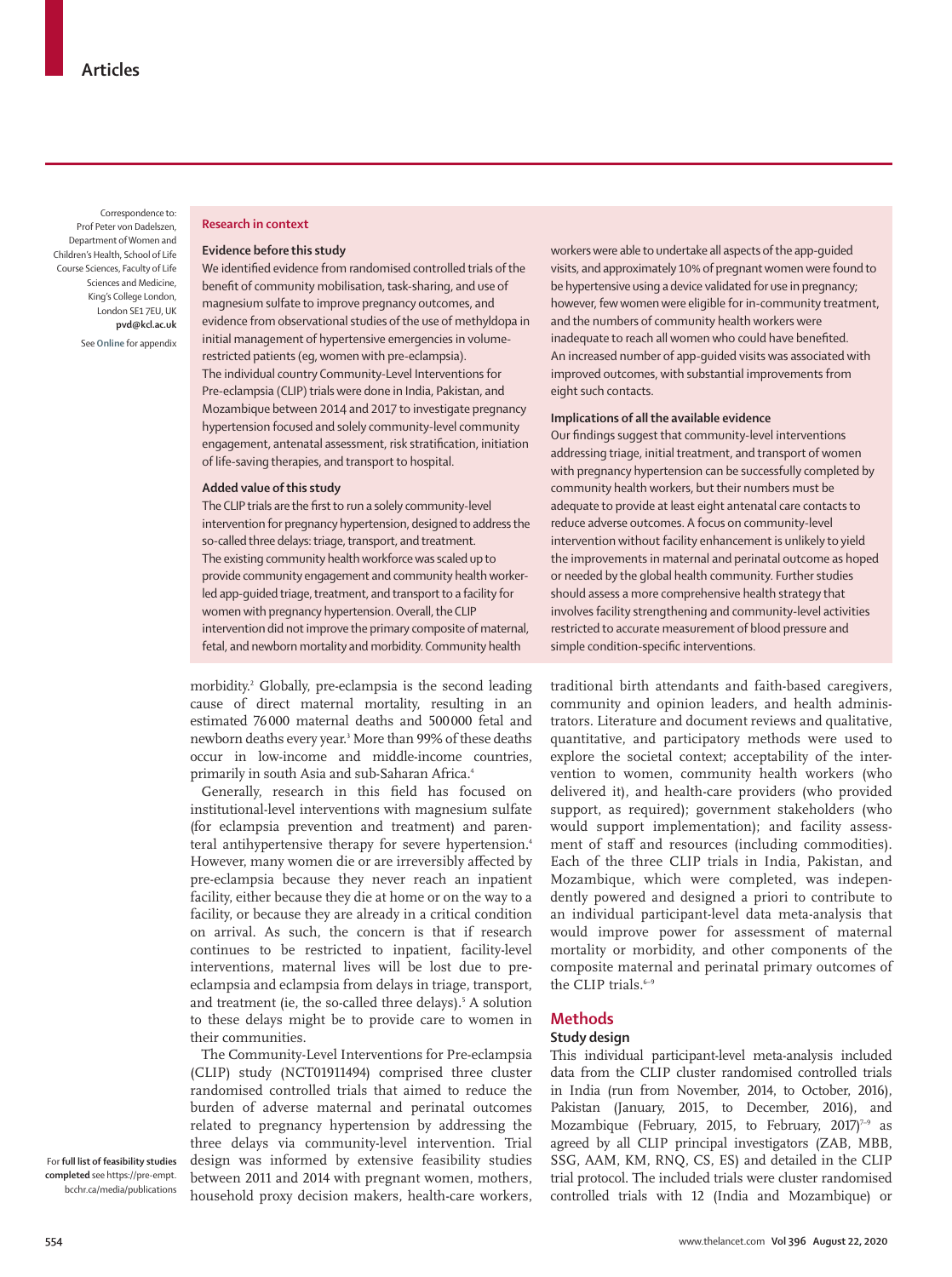Correspondence to: Prof Peter von Dadelszen, Department of Women and Children's Health, School of Life Course Sciences, Faculty of Life Sciences and Medicine, King's College London, London SE1 7EU, UK **pvd@kcl.ac.uk**

#### See **Online** for appendix

# **Research in context**

#### **Evidence before this study**

We identified evidence from randomised controlled trials of the benefit of community mobilisation, task-sharing, and use of magnesium sulfate to improve pregnancy outcomes, and evidence from observational studies of the use of methyldopa in initial management of hypertensive emergencies in volumerestricted patients (eg, women with pre-eclampsia). The individual country Community-Level Interventions for Pre-eclampsia (CLIP) trials were done in India, Pakistan, and Mozambique between 2014 and 2017 to investigate pregnancy hypertension focused and solely community-level community engagement, antenatal assessment, risk stratification, initiation of life-saving therapies, and transport to hospital.

#### **Added value of this study**

The CLIP trials are the first to run a solely community-level intervention for pregnancy hypertension, designed to address the so-called three delays: triage, transport, and treatment. The existing community health workforce was scaled up to provide community engagement and community health workerled app-guided triage, treatment, and transport to a facility for women with pregnancy hypertension. Overall, the CLIP intervention did not improve the primary composite of maternal, fetal, and newborn mortality and morbidity. Community health

morbidity.2 Globally, pre-eclampsia is the second leading cause of direct maternal mortality, resulting in an estimated 76000 maternal deaths and 500000 fetal and newborn deaths every year.3 More than 99% of these deaths occur in low-income and middle-income countries, primarily in south Asia and sub-Saharan Africa.<sup>4</sup>

Generally, research in this field has focused on institutional-level interventions with magnesium sulfate (for eclampsia prevention and treatment) and parenteral antihypertensive therapy for severe hypertension.<sup>4</sup> However, many women die or are irreversibly affected by pre-eclampsia because they never reach an inpatient facility, either because they die at home or on the way to a facility, or because they are already in a critical condition on arrival. As such, the concern is that if research continues to be restricted to inpatient, facility-level interventions, maternal lives will be lost due to preeclampsia and eclampsia from delays in triage, transport, and treatment (ie, the so-called three delays).<sup>5</sup> A solution to these delays might be to provide care to women in their communities.

The Community-Level Interventions for Pre-eclampsia (CLIP) study (NCT01911494) comprised three cluster randomised controlled trials that aimed to reduce the burden of adverse maternal and perinatal outcomes related to pregnancy hypertension by addressing the three delays via community-level intervention. Trial design was informed by extensive [feasibility studies](https://pre-empt.bcchr.ca/media/publications) between 2011 and 2014 with pregnant women, mothers, household proxy decision makers, health-care workers,

workers were able to undertake all aspects of the app-guided visits, and approximately 10% of pregnant women were found to be hypertensive using a device validated for use in pregnancy; however, few women were eligible for in-community treatment, and the numbers of community health workers were inadequate to reach all women who could have benefited. An increased number of app-guided visits was associated with improved outcomes, with substantial improvements from eight such contacts.

#### **Implications of all the available evidence**

Our findings suggest that community-level interventions addressing triage, initial treatment, and transport of women with pregnancy hypertension can be successfully completed by community health workers, but their numbers must be adequate to provide at least eight antenatal care contacts to reduce adverse outcomes. A focus on community-level intervention without facility enhancement is unlikely to yield the improvements in maternal and perinatal outcome as hoped or needed by the global health community. Further studies should assess a more comprehensive health strategy that involves facility strengthening and community-level activities restricted to accurate measurement of blood pressure and simple condition-specific interventions.

traditional birth attendants and faith-based caregivers, community and opinion leaders, and health administrators. Literature and document reviews and qualitative, quantitative, and participatory methods were used to explore the societal context; acceptability of the intervention to women, community health workers (who delivered it), and health-care providers (who provided support, as required); government stakeholders (who would support implementation); and facility assessment of staff and resources (including commodities). Each of the three CLIP trials in India, Pakistan, and Mozambique, which were completed, was independently powered and designed a priori to contribute to an individual participant-level data meta-analysis that would improve power for assessment of maternal mortality or morbidity, and other components of the composite maternal and perinatal primary outcomes of the CLIP trials.<sup>6-9</sup>

# **Methods**

## **Study design**

This individual participant-level meta-analysis included data from the CLIP cluster randomised controlled trials in India (run from November, 2014, to October, 2016), Pakistan (January, 2015, to December, 2016), and Mozambique (February, 2015, to February, 2017)<sup>7-9</sup> as agreed by all CLIP principal investigators (ZAB, MBB, SSG, AAM, KM, RNQ, CS, ES) and detailed in the CLIP trial protocol. The included trials were cluster randomised controlled trials with 12 (India and Mozambique) or

For **full list of feasibility studies completed** see [https://pre-empt.](https://pre-empt.bcchr.ca/media/publications) [bcchr.ca/media/publications](https://pre-empt.bcchr.ca/media/publications)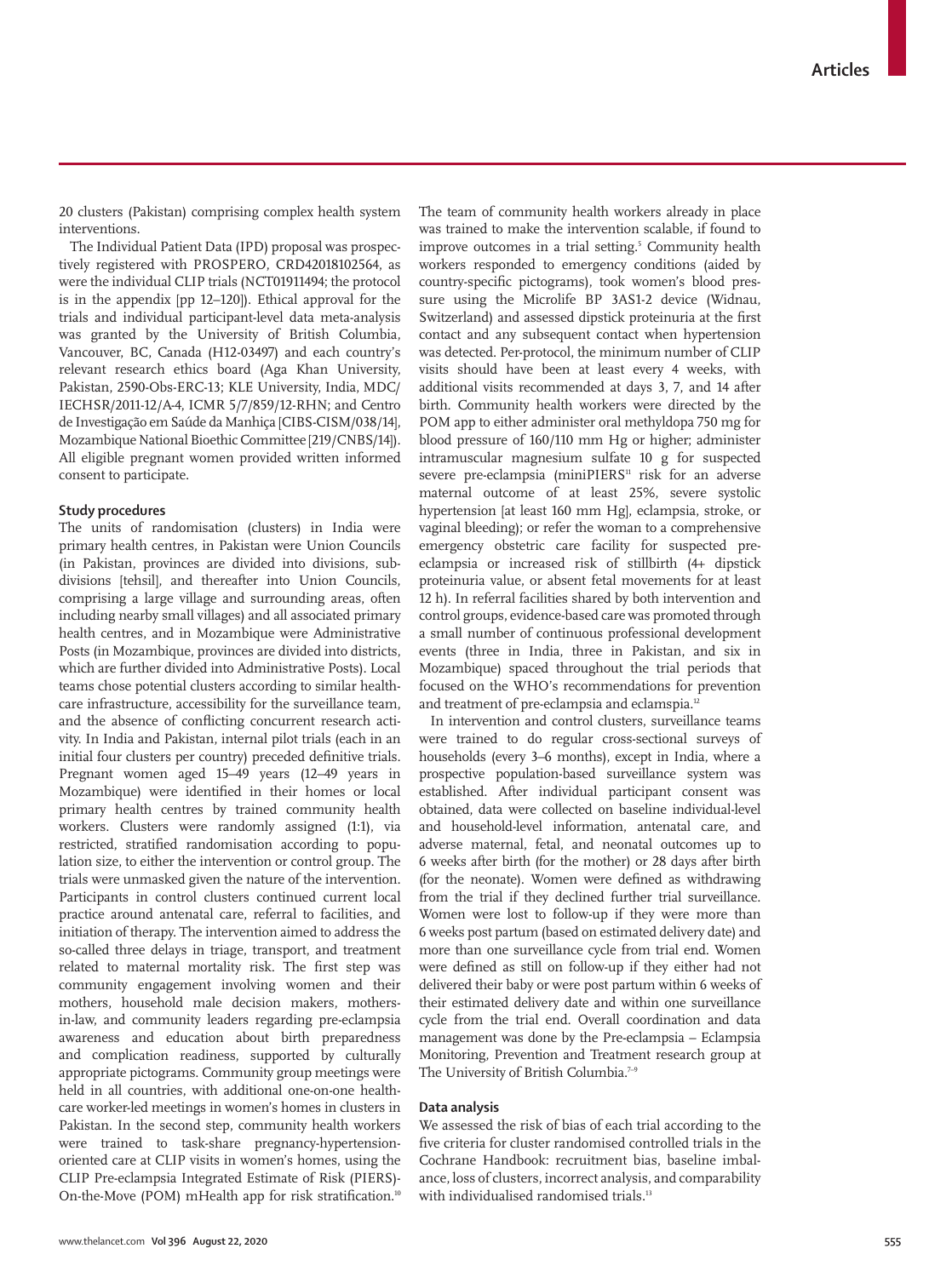20 clusters (Pakistan) comprising complex health system interventions.

The Individual Patient Data (IPD) proposal was prospectively registered with PROSPERO, CRD42018102564, as were the individual CLIP trials (NCT01911494; the protocol is in the appendix [pp 12–120]). Ethical approval for the trials and individual participant-level data meta-analysis was granted by the University of British Columbia, Vancouver, BC, Canada (H12-03497) and each country's relevant research ethics board (Aga Khan University, Pakistan, 2590-Obs-ERC-13; KLE University, India, MDC/ IECHSR/2011-12/A-4, ICMR 5/7/859/12-RHN; and Centro de Investigação em Saúde da Manhiça [CIBS-CISM/038/14], Mozambique National Bioethic Committee [219/CNBS/14]). All eligible pregnant women provided written informed consent to participate.

## **Study procedures**

The units of randomisation (clusters) in India were primary health centres, in Pakistan were Union Councils (in Pakistan, provinces are divided into divisions, subdivisions [tehsil], and thereafter into Union Councils, comprising a large village and surrounding areas, often including nearby small villages) and all associated primary health centres, and in Mozambique were Administrative Posts (in Mozambique, provinces are divided into districts, which are further divided into Administrative Posts). Local teams chose potential clusters according to similar healthcare infrastructure, accessibility for the surveillance team, and the absence of conflicting concurrent research activity. In India and Pakistan, internal pilot trials (each in an initial four clusters per country) preceded definitive trials. Pregnant women aged 15–49 years (12–49 years in Mozambique) were identified in their homes or local primary health centres by trained community health workers. Clusters were randomly assigned (1:1), via restricted, stratified randomisation according to population size, to either the intervention or control group. The trials were unmasked given the nature of the intervention. Participants in control clusters continued current local practice around antenatal care, referral to facilities, and initiation of therapy. The intervention aimed to address the so-called three delays in triage, transport, and treatment related to maternal mortality risk. The first step was community engagement involving women and their mothers, household male decision makers, mothersin-law, and community leaders regarding pre-eclampsia awareness and education about birth preparedness and complication readiness, supported by culturally appropriate pictograms. Community group meetings were held in all countries, with additional one-on-one healthcare worker-led meetings in women's homes in clusters in Pakistan. In the second step, community health workers were trained to task-share pregnancy-hypertensionoriented care at CLIP visits in women's homes, using the CLIP Pre-eclampsia Integrated Estimate of Risk (PIERS)- On-the-Move (POM) mHealth app for risk stratification.<sup>10</sup> The team of community health workers already in place was trained to make the intervention scalable, if found to improve outcomes in a trial setting.<sup>5</sup> Community health workers responded to emergency conditions (aided by country-specific pictograms), took women's blood pressure using the Microlife BP 3AS1-2 device (Widnau, Switzerland) and assessed dipstick proteinuria at the first contact and any subsequent contact when hypertension was detected. Per-protocol, the minimum number of CLIP visits should have been at least every 4 weeks, with additional visits recommended at days 3, 7, and 14 after birth. Community health workers were directed by the POM app to either administer oral methyldopa 750 mg for blood pressure of 160/110 mm Hg or higher; administer intramuscular magnesium sulfate 10 g for suspected severe pre-eclampsia (miniPIERS<sup>11</sup> risk for an adverse maternal outcome of at least 25%, severe systolic hypertension [at least 160 mm Hg], eclampsia, stroke, or vaginal bleeding); or refer the woman to a comprehensive emergency obstetric care facility for suspected preeclampsia or increased risk of stillbirth (4+ dipstick proteinuria value, or absent fetal movements for at least 12 h). In referral facilities shared by both intervention and control groups, evidence-based care was promoted through a small number of continuous professional development events (three in India, three in Pakistan, and six in Mozambique) spaced throughout the trial periods that focused on the WHO's recommendations for prevention and treatment of pre-eclampsia and eclamspia.<sup>12</sup>

In intervention and control clusters, surveillance teams were trained to do regular cross-sectional surveys of households (every 3–6 months), except in India, where a prospective population-based surveillance system was established. After individual participant consent was obtained, data were collected on baseline individual-level and household-level information, antenatal care, and adverse maternal, fetal, and neonatal outcomes up to 6 weeks after birth (for the mother) or 28 days after birth (for the neonate). Women were defined as withdrawing from the trial if they declined further trial surveillance. Women were lost to follow-up if they were more than 6 weeks post partum (based on estimated delivery date) and more than one surveillance cycle from trial end. Women were defined as still on follow-up if they either had not delivered their baby or were post partum within 6 weeks of their estimated delivery date and within one surveillance cycle from the trial end. Overall coordination and data management was done by the Pre-eclampsia – Eclampsia Monitoring, Prevention and Treatment research group at The University of British Columbia.<sup>7-9</sup>

# **Data analysis**

We assessed the risk of bias of each trial according to the five criteria for cluster randomised controlled trials in the Cochrane Handbook: recruitment bias, baseline imbalance, loss of clusters, incorrect analysis, and comparability with individualised randomised trials.<sup>13</sup>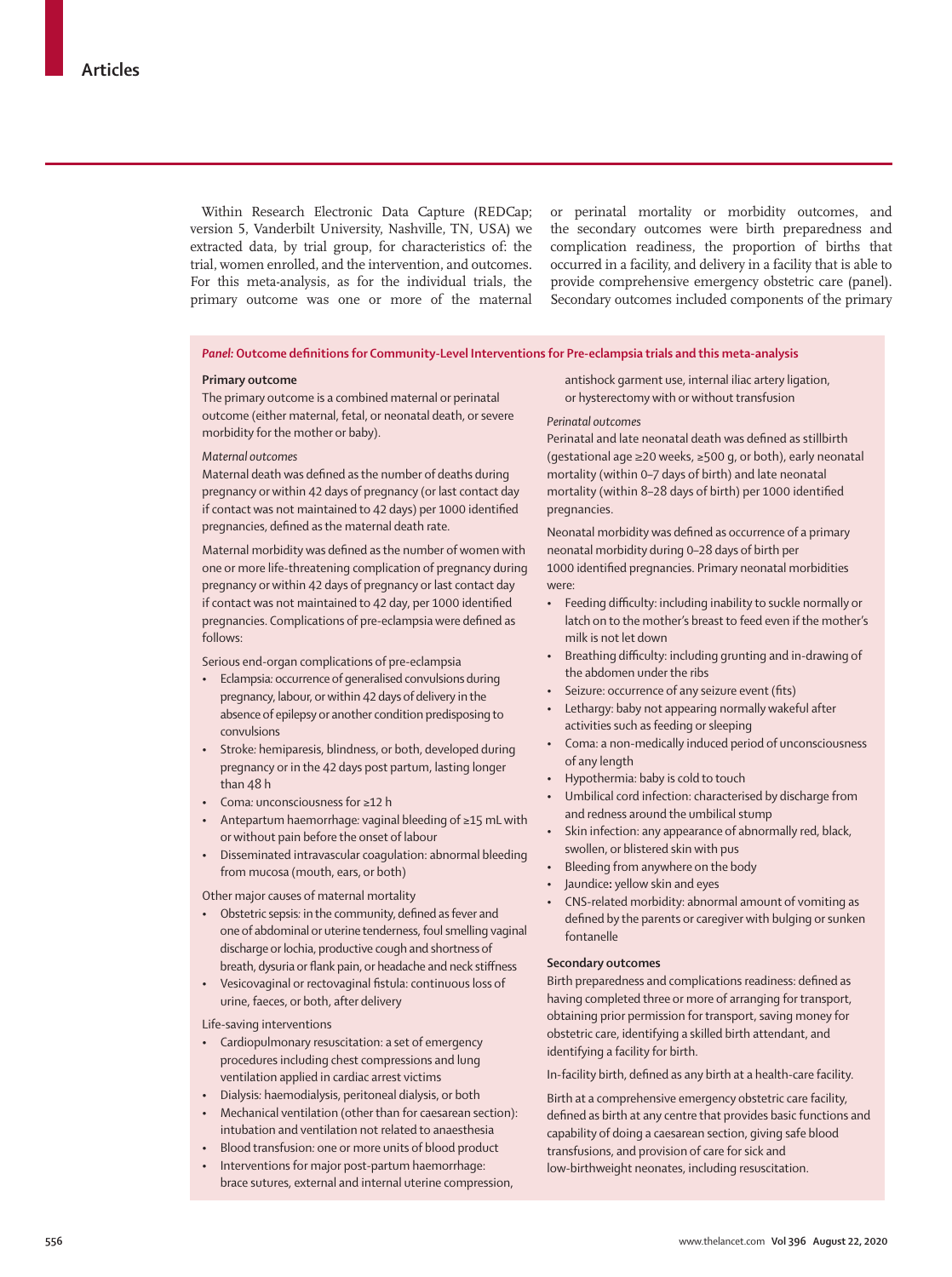Within Research Electronic Data Capture (REDCap; version 5, Vanderbilt University, Nashville, TN, USA) we extracted data, by trial group, for characteristics of: the trial, women enrolled, and the intervention, and outcomes. For this meta-analysis, as for the individual trials, the primary outcome was one or more of the maternal

or perinatal mortality or morbidity outcomes, and the secondary outcomes were birth preparedness and complication readiness, the proportion of births that occurred in a facility, and delivery in a facility that is able to provide comprehensive emergency obstetric care (panel). Secondary outcomes included components of the primary

## *Panel:* **Outcome definitions for Community-Level Interventions for Pre-eclampsia trials and this meta-analysis**

## **Primary outcome**

The primary outcome is a combined maternal or perinatal outcome (either maternal, fetal, or neonatal death, or severe morbidity for the mother or baby).

# *Maternal outcomes*

Maternal death was defined as the number of deaths during pregnancy or within 42 days of pregnancy (or last contact day if contact was not maintained to 42 days) per 1000 identified pregnancies, defined as the maternal death rate.

Maternal morbidity was defined as the number of women with one or more life-threatening complication of pregnancy during pregnancy or within 42 days of pregnancy or last contact day if contact was not maintained to 42 day, per 1000 identified pregnancies. Complications of pre-eclampsia were defined as follows:

Serious end-organ complications of pre-eclampsia

- Eclampsia*:* occurrence of generalised convulsions during pregnancy, labour, or within 42 days of delivery in the absence of epilepsy or another condition predisposing to convulsions
- Stroke*:* hemiparesis, blindness, or both, developed during pregnancy or in the 42 days post partum, lasting longer than 48 h
- Coma*:* unconsciousness for ≥12 h
- Antepartum haemorrhage*:* vaginal bleeding of ≥15 mL with or without pain before the onset of labour
- Disseminated intravascular coagulation: abnormal bleeding from mucosa (mouth, ears, or both)

Other major causes of maternal mortality

- Obstetric sepsis*:* in the community, defined as fever and one of abdominal or uterine tenderness, foul smelling vaginal discharge or lochia, productive cough and shortness of breath, dysuria or flank pain, or headache and neck stiffness
- Vesicovaginal or rectovaginal fistula: continuous loss of urine, faeces, or both, after delivery

Life-saving interventions

- Cardiopulmonary resuscitation: a set of emergency procedures including chest compressions and lung ventilation applied in cardiac arrest victims
- Dialysis*:* haemodialysis, peritoneal dialysis, or both
- Mechanical ventilation (other than for caesarean section): intubation and ventilation not related to anaesthesia
- Blood transfusion*:* one or more units of blood product
- Interventions for major post-partum haemorrhage: brace sutures, external and internal uterine compression,

antishock garment use, internal iliac artery ligation, or hysterectomy with or without transfusion

#### *Perinatal outcomes*

Perinatal and late neonatal death was defined as stillbirth (gestational age ≥20 weeks, ≥500 g, or both), early neonatal mortality (within 0–7 days of birth) and late neonatal mortality (within 8–28 days of birth) per 1000 identified pregnancies.

Neonatal morbidity was defined as occurrence of a primary neonatal morbidity during 0–28 days of birth per 1000 identified pregnancies. Primary neonatal morbidities were:

- Feeding difficulty: including inability to suckle normally or latch on to the mother's breast to feed even if the mother's milk is not let down
- Breathing difficulty: including grunting and in-drawing of the abdomen under the ribs
- Seizure: occurrence of any seizure event (fits)
- Lethargy: baby not appearing normally wakeful after activities such as feeding or sleeping
- Coma: a non-medically induced period of unconsciousness of any length
- Hypothermia: baby is cold to touch
- Umbilical cord infection: characterised by discharge from and redness around the umbilical stump
- Skin infection: any appearance of abnormally red, black, swollen, or blistered skin with pus
- Bleeding from anywhere on the body
- Jaundice**:** yellow skin and eyes
- CNS-related morbidity: abnormal amount of vomiting as defined by the parents or caregiver with bulging or sunken fontanelle

# **Secondary outcomes**

Birth preparedness and complications readiness: defined as having completed three or more of arranging for transport, obtaining prior permission for transport, saving money for obstetric care, identifying a skilled birth attendant, and identifying a facility for birth.

In-facility birth, defined as any birth at a health-care facility.

Birth at a comprehensive emergency obstetric care facility, defined as birth at any centre that provides basic functions and capability of doing a caesarean section, giving safe blood transfusions, and provision of care for sick and low-birthweight neonates, including resuscitation.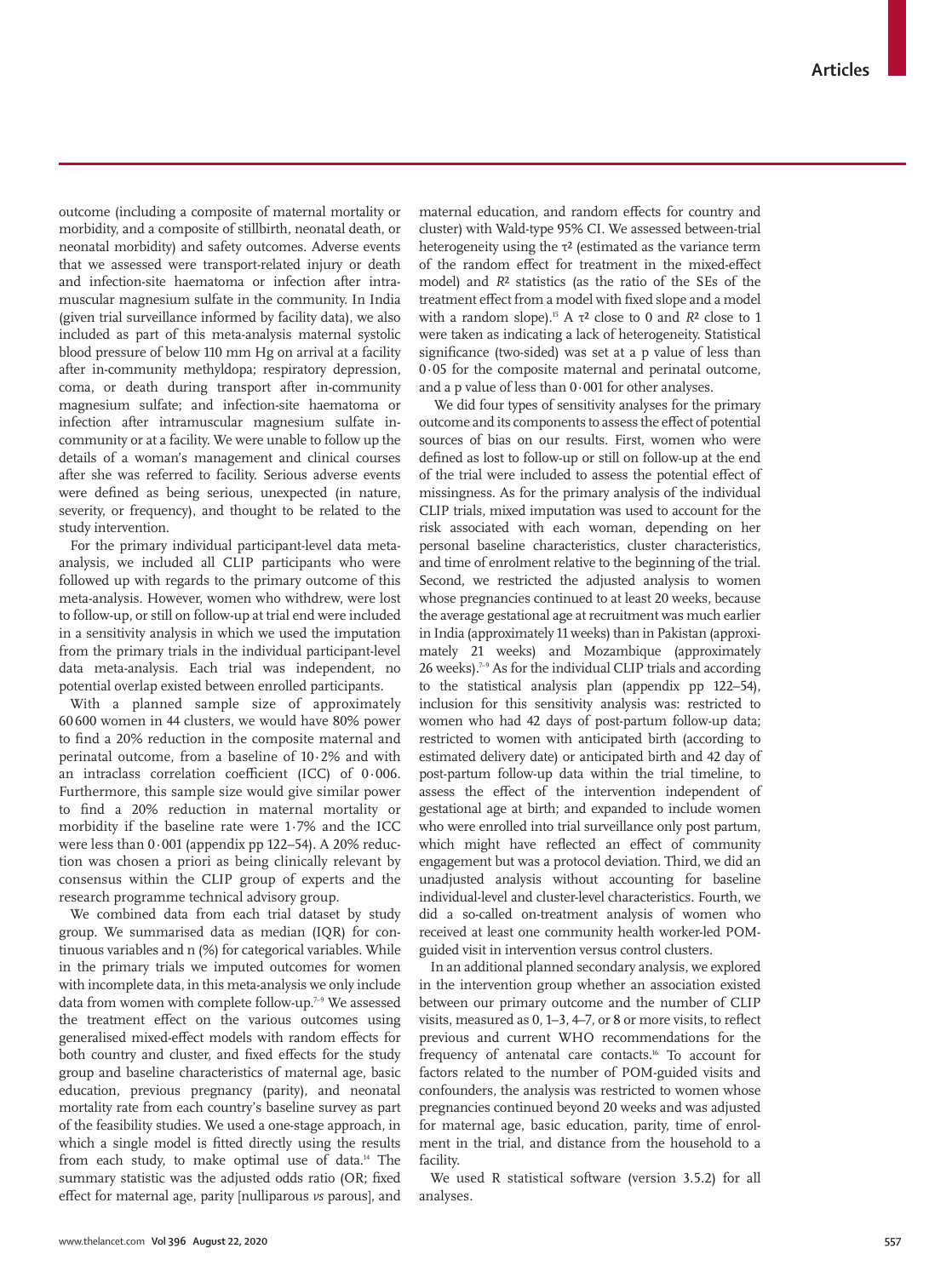outcome (including a composite of maternal mortality or morbidity, and a composite of stillbirth, neonatal death, or neonatal morbidity) and safety outcomes. Adverse events that we assessed were transport-related injury or death and infection-site haematoma or infection after intramuscular magnesium sulfate in the community. In India (given trial surveillance informed by facility data), we also included as part of this meta-analysis maternal systolic blood pressure of below 110 mm Hg on arrival at a facility after in-community methyldopa; respiratory depression, coma, or death during transport after in-community magnesium sulfate; and infection-site haematoma or infection after intramuscular magnesium sulfate incommunity or at a facility. We were unable to follow up the details of a woman's management and clinical courses after she was referred to facility. Serious adverse events were defined as being serious, unexpected (in nature, severity, or frequency), and thought to be related to the study intervention.

For the primary individual participant-level data metaanalysis, we included all CLIP participants who were followed up with regards to the primary outcome of this meta-analysis. However, women who withdrew, were lost to follow-up, or still on follow-up at trial end were included in a sensitivity analysis in which we used the imputation from the primary trials in the individual participant-level data meta-analysis. Each trial was independent, no potential overlap existed between enrolled participants.

With a planned sample size of approximately 60 600 women in 44 clusters, we would have 80% power to find a 20% reduction in the composite maternal and perinatal outcome, from a baseline of 10·2% and with an intraclass correlation coefficient (ICC) of 0·006. Furthermore, this sample size would give similar power to find a 20% reduction in maternal mortality or morbidity if the baseline rate were 1·7% and the ICC were less than 0·001 (appendix pp 122–54). A 20% reduction was chosen a priori as being clinically relevant by consensus within the CLIP group of experts and the research programme technical advisory group.

We combined data from each trial dataset by study group. We summarised data as median (IQR) for continuous variables and n (%) for categorical variables. While in the primary trials we imputed outcomes for women with incomplete data, in this meta-analysis we only include data from women with complete follow-up.<sup>7-9</sup> We assessed the treatment effect on the various outcomes using generalised mixed-effect models with random effects for both country and cluster, and fixed effects for the study group and baseline characteristics of maternal age, basic education, previous pregnancy (parity), and neonatal mortality rate from each country's baseline survey as part of the feasibility studies. We used a one-stage approach, in which a single model is fitted directly using the results from each study, to make optimal use of data.<sup>14</sup> The summary statistic was the adjusted odds ratio (OR; fixed effect for maternal age, parity [nulliparous *vs* parous], and maternal education, and random effects for country and cluster) with Wald-type 95% CI. We assessed between-trial heterogeneity using the  $\tau^2$  (estimated as the variance term of the random effect for treatment in the mixed-effect model) and *R*² statistics (as the ratio of the SEs of the treatment effect from a model with fixed slope and a model with a random slope).15 A τ² close to 0 and *R*² close to 1 were taken as indicating a lack of heterogeneity. Statistical significance (two-sided) was set at a p value of less than 0·05 for the composite maternal and perinatal outcome, and a p value of less than 0·001 for other analyses.

We did four types of sensitivity analyses for the primary outcome and its components to assess the effect of potential sources of bias on our results. First, women who were defined as lost to follow-up or still on follow-up at the end of the trial were included to assess the potential effect of missingness. As for the primary analysis of the individual CLIP trials, mixed imputation was used to account for the risk associated with each woman, depending on her personal baseline characteristics, cluster characteristics, and time of enrolment relative to the beginning of the trial. Second, we restricted the adjusted analysis to women whose pregnancies continued to at least 20 weeks, because the average gestational age at recruitment was much earlier in India (approximately 11 weeks) than in Pakistan (approximately 21 weeks) and Mozambique (approximately 26 weeks).7–9 As for the individual CLIP trials and according to the statistical analysis plan (appendix pp 122–54), inclusion for this sensitivity analysis was: restricted to women who had 42 days of post-partum follow-up data; restricted to women with anticipated birth (according to estimated delivery date) or anticipated birth and 42 day of post-partum follow-up data within the trial timeline, to assess the effect of the intervention independent of gestational age at birth; and expanded to include women who were enrolled into trial surveillance only post partum, which might have reflected an effect of community engagement but was a protocol deviation. Third, we did an unadjusted analysis without accounting for baseline individual-level and cluster-level characteristics. Fourth, we did a so-called on-treatment analysis of women who received at least one community health worker-led POMguided visit in intervention versus control clusters.

In an additional planned secondary analysis, we explored in the intervention group whether an association existed between our primary outcome and the number of CLIP visits, measured as 0, 1–3, 4–7, or 8 or more visits, to reflect previous and current WHO recommendations for the frequency of antenatal care contacts.<sup>16</sup> To account for factors related to the number of POM-guided visits and confounders, the analysis was restricted to women whose pregnancies continued beyond 20 weeks and was adjusted for maternal age, basic education, parity, time of enrolment in the trial, and distance from the household to a facility.

We used R statistical software (version 3.5.2) for all analyses.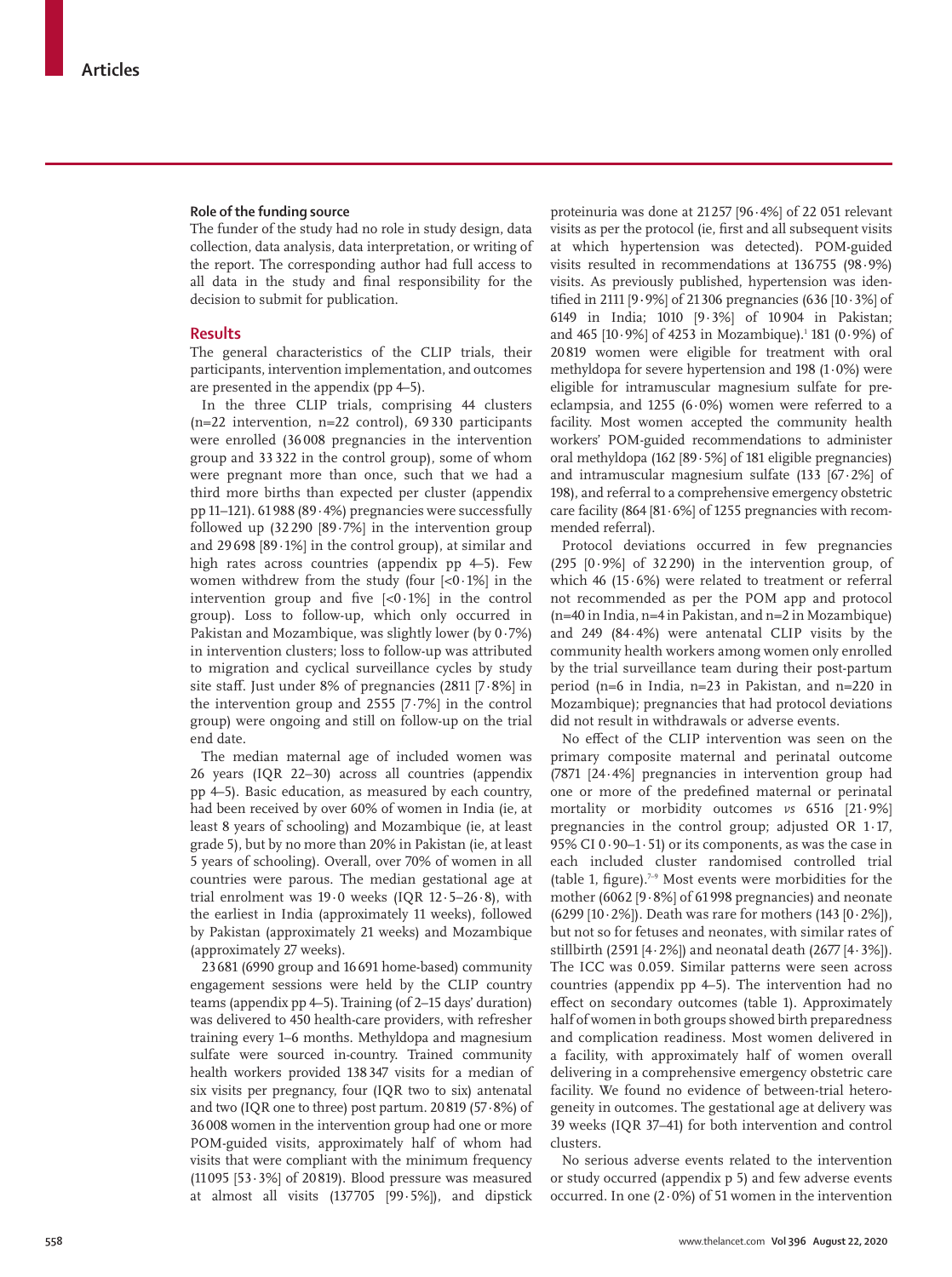## **Role of the funding source**

The funder of the study had no role in study design, data collection, data analysis, data interpretation, or writing of the report. The corresponding author had full access to all data in the study and final responsibility for the decision to submit for publication.

# **Results**

The general characteristics of the CLIP trials, their participants, intervention implementation, and outcomes are presented in the appendix (pp 4–5).

In the three CLIP trials, comprising 44 clusters (n=22 intervention, n=22 control), 69 330 participants were enrolled (36 008 pregnancies in the intervention group and 33 322 in the control group), some of whom were pregnant more than once, such that we had a third more births than expected per cluster (appendix pp 11–121). 61 988 (89·4%) pregnancies were successfully followed up  $(32290)$   $[89.7\%]$  in the intervention group and 29 698 [89·1%] in the control group), at similar and high rates across countries (appendix pp 4–5). Few women withdrew from the study (four  $|<0.1\%|$  in the intervention group and five  $\lfloor 0.1\% \rfloor$  in the control group). Loss to follow-up, which only occurred in Pakistan and Mozambique, was slightly lower (by  $0.7%$ ) in intervention clusters; loss to follow-up was attributed to migration and cyclical surveillance cycles by study site staff. Just under 8% of pregnancies (2811 [7·8%] in the intervention group and 2555 [7·7%] in the control group) were ongoing and still on follow-up on the trial end date.

The median maternal age of included women was 26 years (IQR 22–30) across all countries (appendix pp 4–5). Basic education, as measured by each country, had been received by over 60% of women in India (ie, at least 8 years of schooling) and Mozambique (ie, at least grade 5), but by no more than 20% in Pakistan (ie, at least 5 years of schooling). Overall, over 70% of women in all countries were parous. The median gestational age at trial enrolment was 19 $\cdot$ 0 weeks (IQR 12 $\cdot$ 5–26 $\cdot$ 8), with the earliest in India (approximately 11 weeks), followed by Pakistan (approximately 21 weeks) and Mozambique (approximately 27 weeks).

23681 (6990 group and 16691 home-based) community engagement sessions were held by the CLIP country teams (appendix pp 4–5). Training (of 2–15 days' duration) was delivered to 450 health-care providers, with refresher training every 1–6 months. Methyldopa and magnesium sulfate were sourced in-country. Trained community health workers provided 138347 visits for a median of six visits per pregnancy, four (IQR two to six) antenatal and two (IQR one to three) post partum. 20819 (57·8%) of 36008 women in the intervention group had one or more POM-guided visits, approximately half of whom had visits that were compliant with the minimum frequency (11095 [53·3%] of 20819). Blood pressure was measured at almost all visits (137 705 [99·5%]), and dipstick

proteinuria was done at 21257 [96·4%] of 22 051 relevant visits as per the protocol (ie, first and all subsequent visits at which hypertension was detected). POM-guided visits resulted in recommendations at 136755 (98·9%) visits. As previously published, hypertension was identified in 2111 [9**·**9%] of 21306 pregnancies (636 [10·3%] of 6149 in India; 1010 [9·3%] of 10904 in Pakistan; and 465 [10 $\cdot$ 9%] of 4253 in Mozambique).<sup>1</sup> 181 (0 $\cdot$ 9%) of 20819 women were eligible for treatment with oral methyldopa for severe hypertension and 198 (1·0%) were eligible for intramuscular magnesium sulfate for preeclampsia, and 1255 (6 $\cdot$ 0%) women were referred to a facility. Most women accepted the community health workers' POM-guided recommendations to administer oral methyldopa (162 [89·5%] of 181 eligible pregnancies) and intramuscular magnesium sulfate (133 [67·2%] of 198), and referral to a comprehensive emergency obstetric care facility (864 [81·6%] of 1255 pregnancies with recommended referral).

Protocol deviations occurred in few pregnancies (295  $[0.9\%]$  of 32290) in the intervention group, of which 46 (15·6%) were related to treatment or referral not recommended as per the POM app and protocol (n=40 in India, n=4 in Pakistan, and n=2 in Mozambique) and 249 (84·4%) were antenatal CLIP visits by the community health workers among women only enrolled by the trial surveillance team during their post-partum period (n=6 in India, n=23 in Pakistan, and n=220 in Mozambique); pregnancies that had protocol deviations did not result in withdrawals or adverse events.

No effect of the CLIP intervention was seen on the primary composite maternal and perinatal outcome (7871 [24·4%] pregnancies in intervention group had one or more of the predefined maternal or perinatal mortality or morbidity outcomes *vs* 6516 [21·9%] pregnancies in the control group; adjusted OR 1·17, 95% CI  $0.90-1.51$ ) or its components, as was the case in each included cluster randomised controlled trial (table 1, figure).7–9 Most events were morbidities for the mother (6062 [9·8%] of 61 998 pregnancies) and neonate (6299 [10 $\cdot$ 2%]). Death was rare for mothers (143 [0 $\cdot$ 2%]), but not so for fetuses and neonates, with similar rates of stillbirth (2591 [4·2%]) and neonatal death (2677 [4·3%]). The ICC was 0.059. Similar patterns were seen across countries (appendix pp 4–5). The intervention had no effect on secondary outcomes (table 1). Approximately half of women in both groups showed birth preparedness and complication readiness. Most women delivered in a facility, with approximately half of women overall delivering in a comprehensive emergency obstetric care facility. We found no evidence of between-trial heterogeneity in outcomes. The gestational age at delivery was 39 weeks (IQR 37–41) for both intervention and control clusters

No serious adverse events related to the intervention or study occurred (appendix p 5) and few adverse events occurred. In one  $(2.0\%)$  of 51 women in the intervention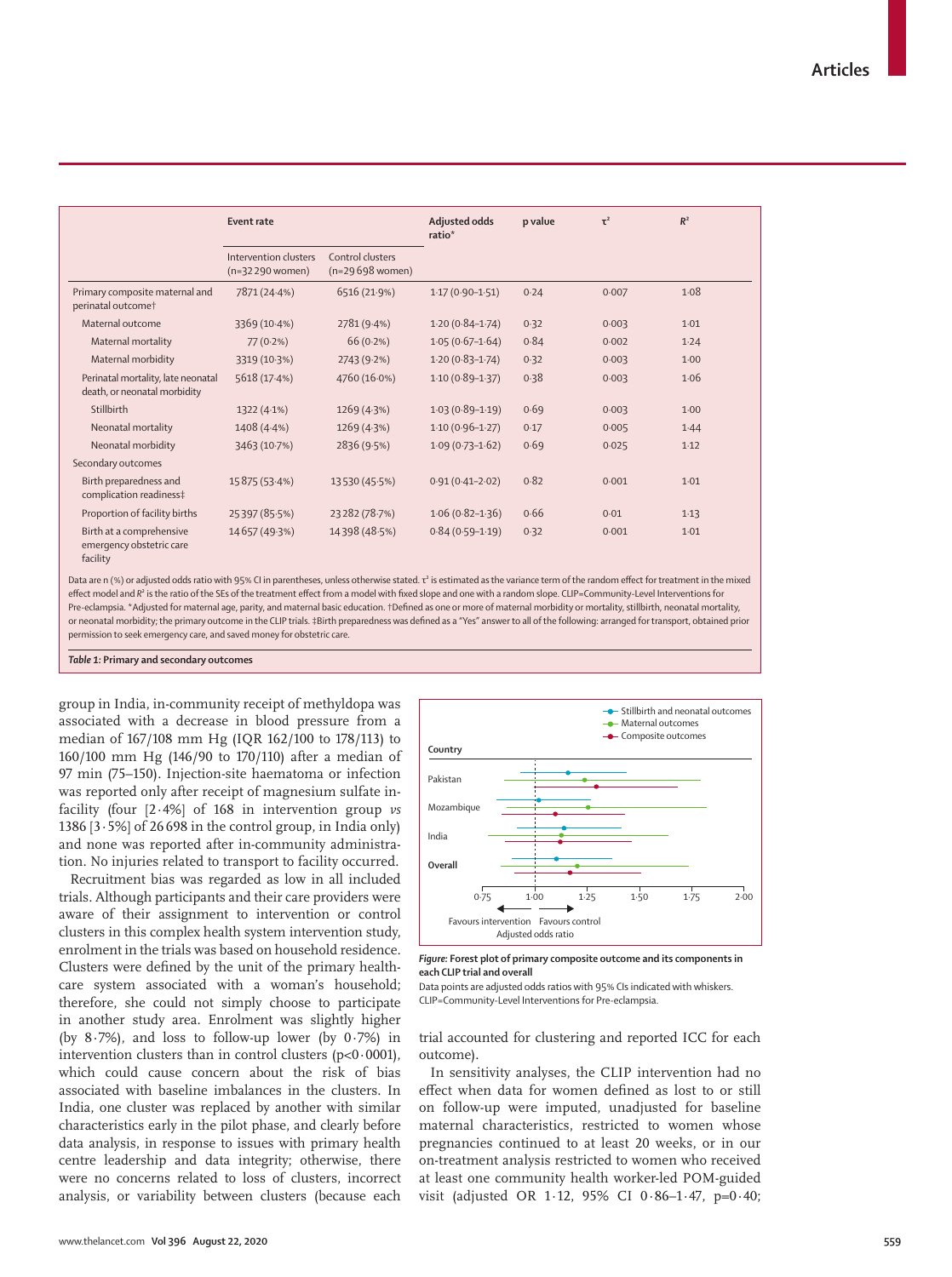|                                                                    | Event rate                               |                                       | Adjusted odds<br>ratio* | p value | $\tau^2$ | R <sup>2</sup> |  |
|--------------------------------------------------------------------|------------------------------------------|---------------------------------------|-------------------------|---------|----------|----------------|--|
|                                                                    | Intervention clusters<br>(n=32290 women) | Control clusters<br>$(n=29698$ women) |                         |         |          |                |  |
| Primary composite maternal and<br>perinatal outcome <sup>+</sup>   | 7871 (24.4%)                             | 6516 (21.9%)                          | $1.17(0.90 - 1.51)$     | 0.24    | 0.007    | 1.08           |  |
| Maternal outcome                                                   | 3369 (10.4%)                             | 2781 (9.4%)                           | $1.20(0.84-1.74)$       | 0.32    | 0.003    | 1.01           |  |
| Maternal mortality                                                 | $77(0.2\%)$                              | 66(0.2%)                              | $1.05(0.67 - 1.64)$     | 0.84    | 0.002    | 1.24           |  |
| Maternal morbidity                                                 | 3319 (10.3%)                             | 2743 (9.2%)                           | $1.20(0.83 - 1.74)$     | 0.32    | 0.003    | 1.00           |  |
| Perinatal mortality, late neonatal<br>death, or neonatal morbidity | 5618 (17.4%)                             | 4760 (16.0%)                          | $1.10(0.89-1.37)$       | 0.38    | 0.003    | 1.06           |  |
| Stillbirth                                                         | 1322 (4.1%)                              | 1269 (4.3%)                           | $1.03(0.89 - 1.19)$     | 0.69    | 0.003    | $1-00$         |  |
| Neonatal mortality                                                 | 1408 (4.4%)                              | 1269 (4.3%)                           | $1.10(0.96 - 1.27)$     | 0.17    | 0.005    | 1.44           |  |
| Neonatal morbidity                                                 | 3463 (10.7%)                             | 2836 (9.5%)                           | $1.09(0.73 - 1.62)$     | 0.69    | 0.025    | 1.12           |  |
| Secondary outcomes                                                 |                                          |                                       |                         |         |          |                |  |
| Birth preparedness and<br>complication readiness‡                  | 15875 (53.4%)                            | 13530 (45.5%)                         | $0.91(0.41 - 2.02)$     | 0.82    | 0.001    | 1.01           |  |
| Proportion of facility births                                      | 25397 (85.5%)                            | 23282 (78.7%)                         | $1.06(0.82 - 1.36)$     | 0.66    | 0.01     | 1.13           |  |
| Birth at a comprehensive<br>emergency obstetric care<br>facility   | 14657 (49.3%)                            | 14398 (48.5%)                         | $0.84(0.59-1.19)$       | 0.32    | 0.001    | 1.01           |  |

Data are n (%) or adjusted odds ratio with 95% CI in parentheses, unless otherwise stated.  $\tau^2$  is estimated as the variance term of the random effect for treatment in the mixed effect model and  $R^2$  is the ratio of the SEs of the treatment effect from a model with fixed slope and one with a random slope. CLIP=Community-Level Interventions for Pre-eclampsia. \*Adjusted for maternal age, parity, and maternal basic education. †Defined as one or more of maternal morbidity or mortality, stillbirth, neonatal mortality, or neonatal morbidity; the primary outcome in the CLIP trials. ‡Birth preparedness was defined as a "Yes" answer to all of the following: arranged for transport, obtained prior permission to seek emergency care, and saved money for obstetric care.

*Table 1:* **Primary and secondary outcomes**

group in India, in-community receipt of methyldopa was associated with a decrease in blood pressure from a median of 167/108 mm Hg (IQR 162/100 to 178/113) to 160/100 mm Hg (146/90 to 170/110) after a median of 97 min (75–150). Injection-site haematoma or infection was reported only after receipt of magnesium sulfate infacility (four [2·4%] of 168 in intervention group *vs* 1386  $[3.5\%]$  of 26 698 in the control group, in India only) and none was reported after in-community administration. No injuries related to transport to facility occurred.

Recruitment bias was regarded as low in all included trials. Although participants and their care providers were aware of their assignment to intervention or control clusters in this complex health system intervention study, enrolment in the trials was based on household residence. Clusters were defined by the unit of the primary healthcare system associated with a woman's household; therefore, she could not simply choose to participate in another study area. Enrolment was slightly higher (by  $8.7\%$ ), and loss to follow-up lower (by  $0.7\%$ ) in intervention clusters than in control clusters  $(p<0.0001)$ , which could cause concern about the risk of bias associated with baseline imbalances in the clusters. In India, one cluster was replaced by another with similar characteristics early in the pilot phase, and clearly before data analysis, in response to issues with primary health centre leadership and data integrity; otherwise, there were no concerns related to loss of clusters, incorrect analysis, or variability between clusters (because each



*Figure:* **Forest plot of primary composite outcome and its components in each CLIP trial and overall**

Data points are adjusted odds ratios with 95% CIs indicated with whiskers. CLIP=Community-Level Interventions for Pre-eclampsia.

trial accounted for clustering and reported ICC for each outcome).

In sensitivity analyses, the CLIP intervention had no effect when data for women defined as lost to or still on follow-up were imputed, unadjusted for baseline maternal characteristics, restricted to women whose pregnancies continued to at least 20 weeks, or in our on-treatment analysis restricted to women who received at least one community health worker-led POM-guided visit (adjusted OR 1·12, 95% CI 0·86–1·47, p=0·40;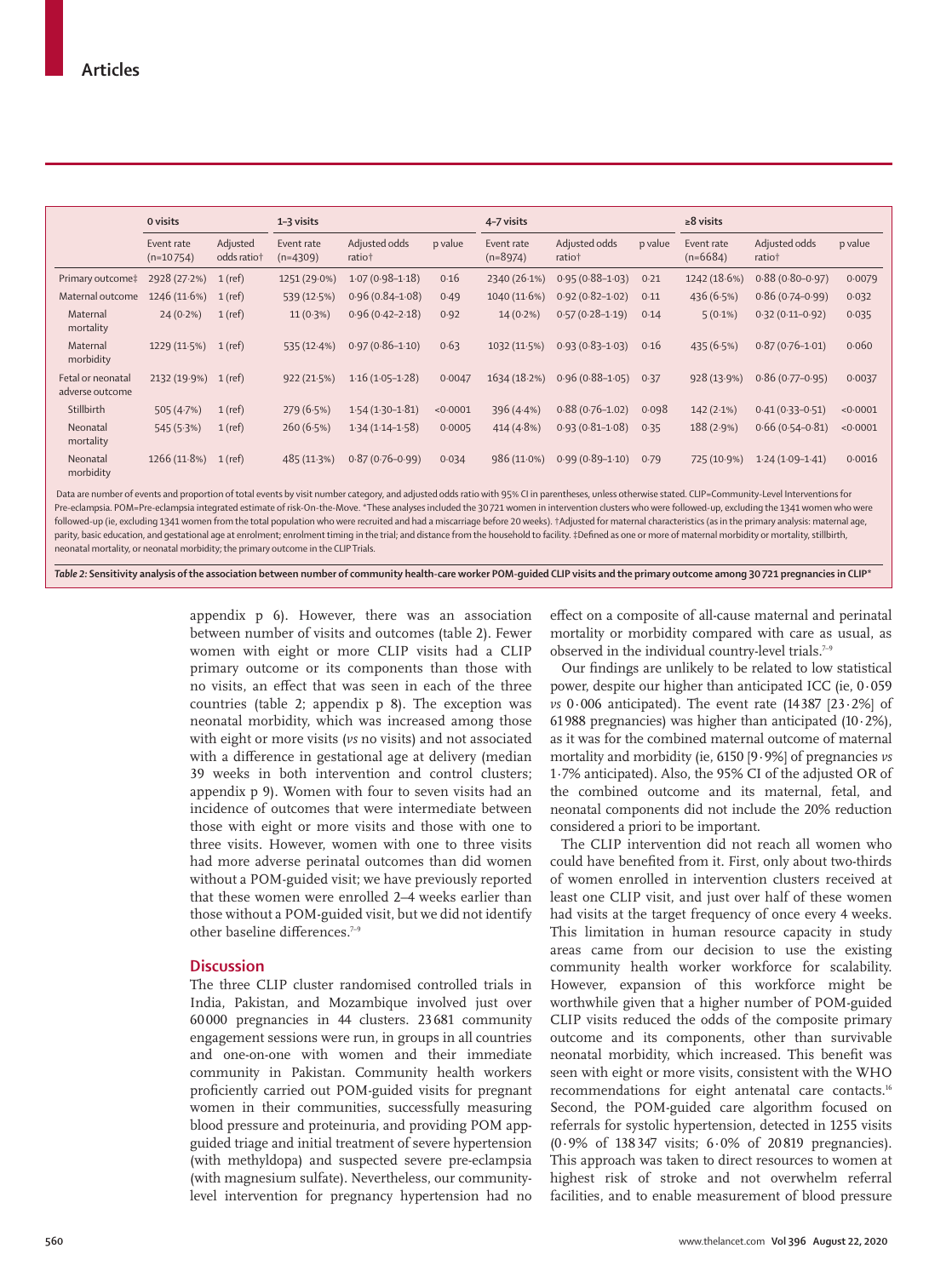|                                      | 0 visits                  |                         | $1-3$ visits             |                         |          | 4-7 visits               |                         |         | $\geq 8$ visits          |                         |          |
|--------------------------------------|---------------------------|-------------------------|--------------------------|-------------------------|----------|--------------------------|-------------------------|---------|--------------------------|-------------------------|----------|
|                                      | Event rate<br>$(n=10754)$ | Adjusted<br>odds ratiot | Event rate<br>$(n=4309)$ | Adjusted odds<br>ratio† | p value  | Event rate<br>$(n=8974)$ | Adjusted odds<br>ratio† | p value | Event rate<br>$(n=6684)$ | Adjusted odds<br>ratio† | p value  |
| Primary outcome‡                     | 2928 (27.2%)              | $1$ (ref)               | 1251 (29.0%)             | $1.07(0.98 - 1.18)$     | 0.16     | 2340 (26.1%)             | $0.95(0.88 - 1.03)$     | 0.21    | 1242 (18.6%)             | $0.88(0.80 - 0.97)$     | 0.0079   |
| Maternal outcome                     | 1246 (11.6%)              | $1$ (ref)               | 539 (12.5%)              | $0.96(0.84 - 1.08)$     | 0.49     | 1040 (11.6%)             | $0.92(0.82 - 1.02)$     | 0.11    | 436 (6.5%)               | $0.86(0.74 - 0.99)$     | 0.032    |
| Maternal<br>mortality                | 24(0.2%)                  | $1$ (ref)               | $11(0.3\%)$              | $0.96(0.42 - 2.18)$     | 0.92     | $14(0.2\%)$              | $0.57(0.28 - 1.19)$     | 0.14    | $5(0.1\%)$               | $0.32(0.11 - 0.92)$     | 0.035    |
| Maternal<br>morbidity                | 1229 (11.5%)              | $1$ (ref)               | 535(12.4%)               | $0.97(0.86 - 1.10)$     | 0.63     | 1032 (11.5%)             | $0.93(0.83 - 1.03)$     | 0.16    | 435(6.5%)                | $0.87(0.76 - 1.01)$     | 0.060    |
| Fetal or neonatal<br>adverse outcome | 2132 (19.9%)              | $1$ (ref)               | 922 (21.5%)              | $1.16(1.05-1.28)$       | 0.0047   | 1634 (18.2%)             | $0.96(0.88 - 1.05)$     | 0.37    | 928 (13.9%)              | $0.86(0.77-0.95)$       | 0.0037   |
| Stillbirth                           | 505 (4.7%)                | $1$ (ref)               | 279(6.5%)                | $1.54(1.30-1.81)$       | < 0.0001 | 396 (4.4%)               | $0.88(0.76 - 1.02)$     | 0.098   | $142(2.1\%)$             | $0.41(0.33 - 0.51)$     | < 0.0001 |
| Neonatal<br>mortality                | 545(5.3%)                 | $1$ (ref)               | 260(6.5%)                | $1.34(1.14 - 1.58)$     | 0.0005   | 414(4.8%)                | $0.93(0.81 - 1.08)$     | 0.35    | 188 (2.9%)               | $0.66(0.54 - 0.81)$     | < 0.0001 |
| Neonatal<br>morbidity                | 1266 (11.8%)              | $1$ (ref)               | 485 (11.3%)              | $0.87(0.76 - 0.99)$     | 0.034    | $986(11.0\%)$            | $0.99(0.89 - 1.10)$     | 0.79    | 725 (10.9%)              | $1.24(1.09-1.41)$       | 0.0016   |

Data are number of events and proportion of total events by visit number category, and adjusted odds ratio with 95% CI in parentheses, unless otherwise stated. CLIP=Community-Level Interventions for Pre-eclampsia. POM=Pre-eclampsia integrated estimate of risk-On-the-Move. \*These analyses included the 30721 women in intervention clusters who were followed-up, excluding the 1341 women who were followed-up (ie, excluding 1341 women from the total population who were recruited and had a miscarriage before 20 weeks). †Adjusted for maternal characteristics (as in the primary analysis: maternal age, parity, basic education, and gestational age at enrolment; enrolment timing in the trial; and distance from the household to facility. ‡Defined as one or more of maternal morbidity or mortality, stillbirth, neonatal mortality, or neonatal morbidity; the primary outcome in the CLIP Trials.

*Table 2:* **Sensitivity analysis of the association between number of community health-care worker POM-guided CLIP visits and the primary outcome among 30721 pregnancies in CLIP\***

appendix p 6). However, there was an association between number of visits and outcomes (table 2). Fewer women with eight or more CLIP visits had a CLIP primary outcome or its components than those with no visits, an effect that was seen in each of the three countries (table 2; appendix p 8). The exception was neonatal morbidity, which was increased among those with eight or more visits (*vs* no visits) and not associated with a difference in gestational age at delivery (median 39 weeks in both intervention and control clusters; appendix p 9). Women with four to seven visits had an incidence of outcomes that were intermediate between those with eight or more visits and those with one to three visits. However, women with one to three visits had more adverse perinatal outcomes than did women without a POM-guided visit; we have previously reported that these women were enrolled 2–4 weeks earlier than those without a POM-guided visit, but we did not identify other baseline differences.<sup>7-9</sup>

# **Discussion**

The three CLIP cluster randomised controlled trials in India, Pakistan, and Mozambique involved just over 60000 pregnancies in 44 clusters. 23681 community engagement sessions were run, in groups in all countries and one-on-one with women and their immediate community in Pakistan. Community health workers proficiently carried out POM-guided visits for pregnant women in their communities, successfully measuring blood pressure and proteinuria, and providing POM appguided triage and initial treatment of severe hypertension (with methyldopa) and suspected severe pre-eclampsia (with magnesium sulfate). Nevertheless, our communitylevel intervention for pregnancy hypertension had no effect on a composite of all-cause maternal and perinatal mortality or morbidity compared with care as usual, as observed in the individual country-level trials.<sup>7-9</sup>

Our findings are unlikely to be related to low statistical power, despite our higher than anticipated ICC (ie, 0·059 *vs* 0·006 anticipated). The event rate (14387 [23·2%] of 61988 pregnancies) was higher than anticipated  $(10.2\%)$ , as it was for the combined maternal outcome of maternal mortality and morbidity (ie, 6150 [9·9%] of pregnancies *vs* 1·7% anticipated). Also, the 95% CI of the adjusted OR of the combined outcome and its maternal, fetal, and neonatal components did not include the 20% reduction considered a priori to be important.

The CLIP intervention did not reach all women who could have benefited from it. First, only about two-thirds of women enrolled in intervention clusters received at least one CLIP visit, and just over half of these women had visits at the target frequency of once every 4 weeks. This limitation in human resource capacity in study areas came from our decision to use the existing community health worker workforce for scalability. However, expansion of this workforce might be worthwhile given that a higher number of POM-guided CLIP visits reduced the odds of the composite primary outcome and its components, other than survivable neonatal morbidity, which increased. This benefit was seen with eight or more visits, consistent with the WHO recommendations for eight antenatal care contacts.16 Second, the POM-guided care algorithm focused on referrals for systolic hypertension, detected in 1255 visits (0·9% of 138347 visits; 6·0% of 20819 pregnancies). This approach was taken to direct resources to women at highest risk of stroke and not overwhelm referral facilities, and to enable measurement of blood pressure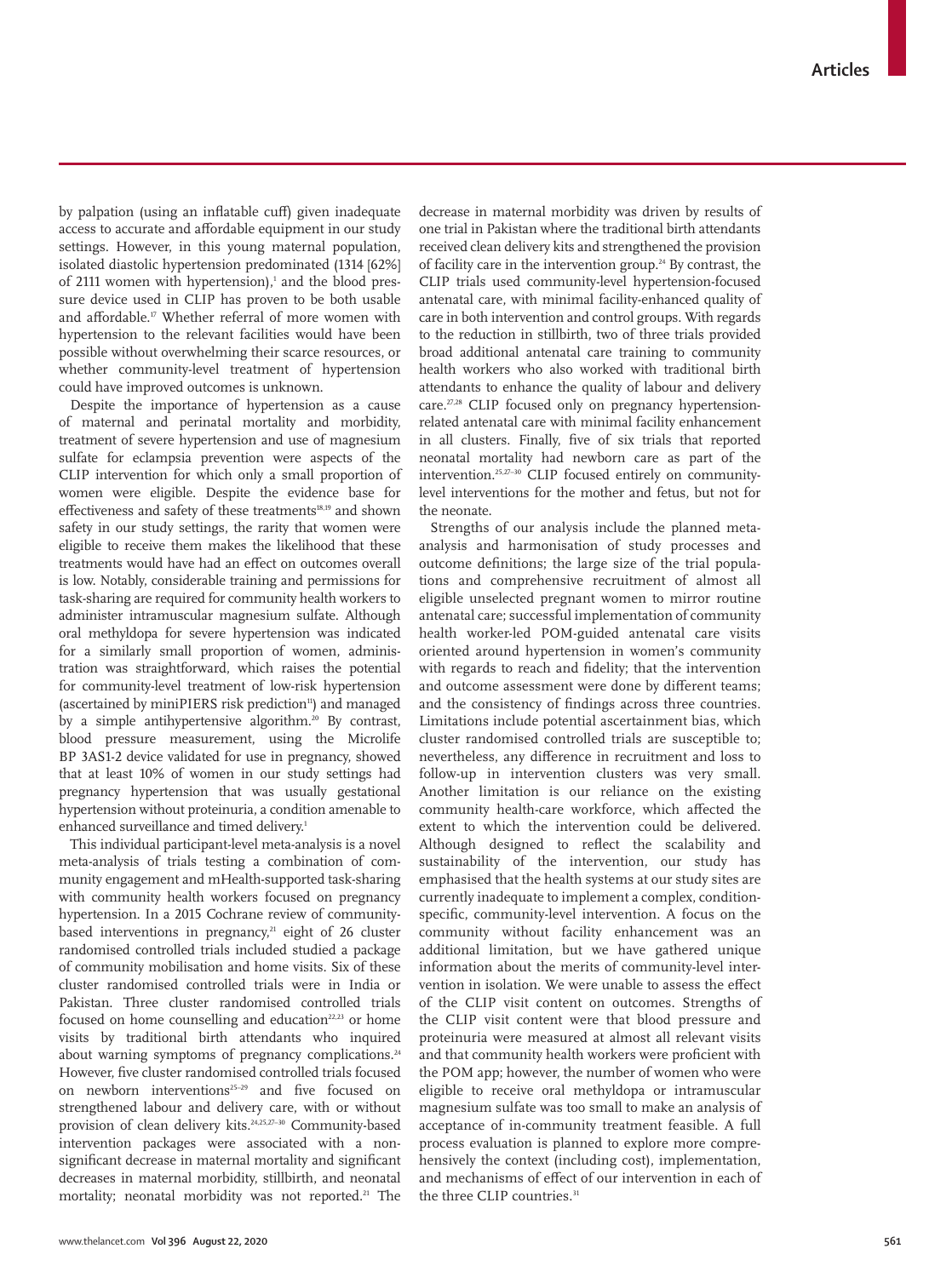by palpation (using an inflatable cuff) given inadequate access to accurate and affordable equipment in our study settings. However, in this young maternal population, isolated diastolic hypertension predominated (1314 [62%] of 2111 women with hypertension),<sup>1</sup> and the blood pressure device used in CLIP has proven to be both usable and affordable.<sup>17</sup> Whether referral of more women with hypertension to the relevant facilities would have been possible without overwhelming their scarce resources, or whether community-level treatment of hypertension could have improved outcomes is unknown.

Despite the importance of hypertension as a cause of maternal and perinatal mortality and morbidity, treatment of severe hypertension and use of magnesium sulfate for eclampsia prevention were aspects of the CLIP intervention for which only a small proportion of women were eligible. Despite the evidence base for effectiveness and safety of these treatments<sup>18,19</sup> and shown safety in our study settings, the rarity that women were eligible to receive them makes the likelihood that these treatments would have had an effect on outcomes overall is low. Notably, considerable training and permissions for task-sharing are required for community health workers to administer intramuscular magnesium sulfate. Although oral methyldopa for severe hypertension was indicated for a similarly small proportion of women, administration was straightforward, which raises the potential for community-level treatment of low-risk hypertension (ascertained by miniPIERS risk prediction<sup>11</sup>) and managed by a simple antihypertensive algorithm.<sup>20</sup> By contrast, blood pressure measurement, using the Microlife BP 3AS1-2 device validated for use in pregnancy, showed that at least 10% of women in our study settings had pregnancy hypertension that was usually gestational hypertension without proteinuria, a condition amenable to enhanced surveillance and timed delivery.<sup>1</sup>

This individual participant-level meta-analysis is a novel meta-analysis of trials testing a combination of community engagement and mHealth-supported task-sharing with community health workers focused on pregnancy hypertension. In a 2015 Cochrane review of communitybased interventions in pregnancy, $21$  eight of 26 cluster randomised controlled trials included studied a package of community mobilisation and home visits. Six of these cluster randomised controlled trials were in India or Pakistan. Three cluster randomised controlled trials focused on home counselling and education<sup>22,23</sup> or home visits by traditional birth attendants who inquired about warning symptoms of pregnancy complications.<sup>24</sup> However, five cluster randomised controlled trials focused on newborn interventions<sup>25-29</sup> and five focused on strengthened labour and delivery care, with or without provision of clean delivery kits.<sup>24,25,27-30</sup> Community-based intervention packages were associated with a nonsignificant decrease in maternal mortality and significant decreases in maternal morbidity, stillbirth, and neonatal mortality; neonatal morbidity was not reported.<sup>21</sup> The decrease in maternal morbidity was driven by results of one trial in Pakistan where the traditional birth attendants received clean delivery kits and strengthened the provision of facility care in the intervention group.<sup>24</sup> By contrast, the CLIP trials used community-level hypertension-focused antenatal care, with minimal facility-enhanced quality of care in both intervention and control groups. With regards to the reduction in stillbirth, two of three trials provided broad additional antenatal care training to community health workers who also worked with traditional birth attendants to enhance the quality of labour and delivery care.27,28 CLIP focused only on pregnancy hypertensionrelated antenatal care with minimal facility enhancement in all clusters. Finally, five of six trials that reported neonatal mortality had newborn care as part of the intervention.25,27–30 CLIP focused entirely on communitylevel interventions for the mother and fetus, but not for the neonate.

Strengths of our analysis include the planned metaanalysis and harmonisation of study processes and outcome definitions; the large size of the trial populations and comprehensive recruitment of almost all eligible unselected pregnant women to mirror routine antenatal care; successful implementation of community health worker-led POM-guided antenatal care visits oriented around hypertension in women's community with regards to reach and fidelity; that the intervention and outcome assessment were done by different teams; and the consistency of findings across three countries. Limitations include potential ascertainment bias, which cluster randomised controlled trials are susceptible to; nevertheless, any difference in recruitment and loss to follow-up in intervention clusters was very small. Another limitation is our reliance on the existing community health-care workforce, which affected the extent to which the intervention could be delivered. Although designed to reflect the scalability and sustainability of the intervention, our study has emphasised that the health systems at our study sites are currently inadequate to implement a complex, conditionspecific, community-level intervention. A focus on the community without facility enhancement was an additional limitation, but we have gathered unique information about the merits of community-level intervention in isolation. We were unable to assess the effect of the CLIP visit content on outcomes. Strengths of the CLIP visit content were that blood pressure and proteinuria were measured at almost all relevant visits and that community health workers were proficient with the POM app; however, the number of women who were eligible to receive oral methyldopa or intramuscular magnesium sulfate was too small to make an analysis of acceptance of in-community treatment feasible. A full process evaluation is planned to explore more comprehensively the context (including cost), implementation, and mechanisms of effect of our intervention in each of the three CLIP countries.<sup>31</sup>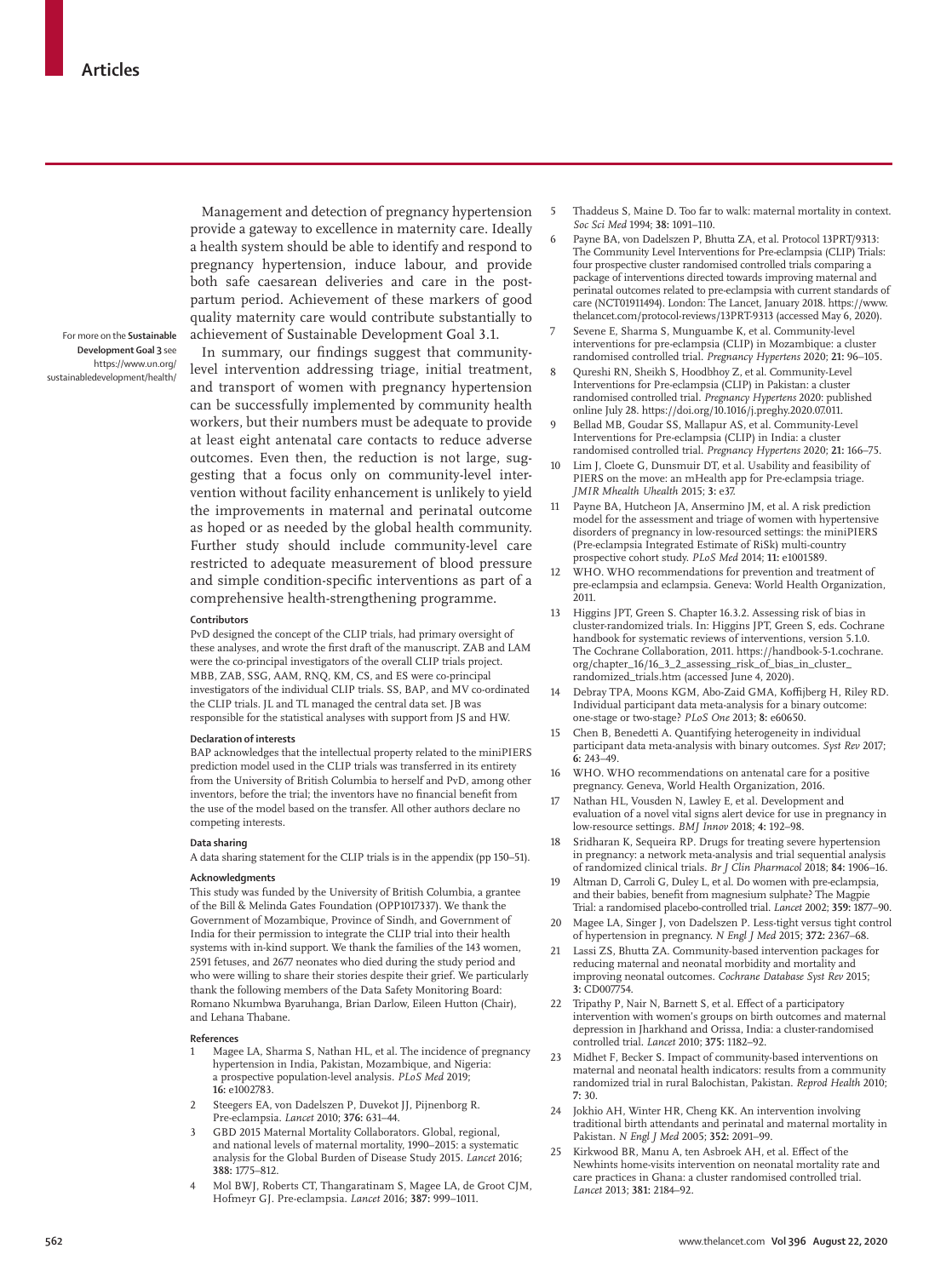For more on the **Sustainable Development Goal 3** see [https://www.un.org/](https://www.un.org/sustainabledevelopment/health/) [sustainabledevelopment/health/](https://www.un.org/sustainabledevelopment/health/)

Management and detection of pregnancy hypertension provide a gateway to excellence in maternity care. Ideally a health system should be able to identify and respond to pregnancy hypertension, induce labour, and provide both safe caesarean deliveries and care in the postpartum period. Achievement of these markers of good quality maternity care would contribute substantially to achievement of [Sustainable Development Goal 3.1](https://www.un.org/sustainabledevelopment/health/).

In summary, our findings suggest that communitylevel intervention addressing triage, initial treatment, and transport of women with pregnancy hypertension can be successfully implemented by community health workers, but their numbers must be adequate to provide at least eight antenatal care contacts to reduce adverse outcomes. Even then, the reduction is not large, suggesting that a focus only on community-level intervention without facility enhancement is unlikely to yield the improvements in maternal and perinatal outcome as hoped or as needed by the global health community. Further study should include community-level care restricted to adequate measurement of blood pressure and simple condition-specific interventions as part of a comprehensive health-strengthening programme.

#### **Contributors**

PvD designed the concept of the CLIP trials, had primary oversight of these analyses, and wrote the first draft of the manuscript. ZAB and LAM were the co-principal investigators of the overall CLIP trials project. MBB, ZAB, SSG, AAM, RNQ, KM, CS, and ES were co-principal investigators of the individual CLIP trials. SS, BAP, and MV co-ordinated the CLIP trials. JL and TL managed the central data set. JB was responsible for the statistical analyses with support from JS and HW.

#### **Declaration of interests**

BAP acknowledges that the intellectual property related to the miniPIERS prediction model used in the CLIP trials was transferred in its entirety from the University of British Columbia to herself and PvD, among other inventors, before the trial; the inventors have no financial benefit from the use of the model based on the transfer. All other authors declare no competing interests.

#### **Data sharing**

A data sharing statement for the CLIP trials is in the appendix (pp 150–51).

#### **Acknowledgments**

This study was funded by the University of British Columbia, a grantee of the Bill & Melinda Gates Foundation (OPP1017337). We thank the Government of Mozambique, Province of Sindh, and Government of India for their permission to integrate the CLIP trial into their health systems with in-kind support. We thank the families of the 143 women, 2591 fetuses, and 2677 neonates who died during the study period and who were willing to share their stories despite their grief. We particularly thank the following members of the Data Safety Monitoring Board: Romano Nkumbwa Byaruhanga, Brian Darlow, Eileen Hutton (Chair), and Lehana Thabane.

#### **References**

- Magee LA, Sharma S, Nathan HL, et al. The incidence of pregnancy hypertension in India, Pakistan, Mozambique, and Nigeria: a prospective population-level analysis. *PLoS Med* 2019; **16:** e1002783.
- 2 Steegers EA, von Dadelszen P, Duvekot JJ, Pijnenborg R. Pre-eclampsia. *Lancet* 2010; **376:** 631–44.
- 3 GBD 2015 Maternal Mortality Collaborators. Global, regional, and national levels of maternal mortality, 1990–2015: a systematic analysis for the Global Burden of Disease Study 2015. *Lancet* 2016; **388:** 1775–812.
- 4 Mol BWJ, Roberts CT, Thangaratinam S, Magee LA, de Groot CJM, Hofmeyr GJ. Pre-eclampsia. *Lancet* 2016; **387:** 999–1011.
- 5 Thaddeus S, Maine D. Too far to walk: maternal mortality in context. *Soc Sci Med* 1994; **38:** 1091–110.
- 6 Payne BA, von Dadelszen P, Bhutta ZA, et al. Protocol 13PRT/9313: The Community Level Interventions for Pre-eclampsia (CLIP) Trials: four prospective cluster randomised controlled trials comparing a package of interventions directed towards improving maternal and perinatal outcomes related to pre-eclampsia with current standards of care (NCT01911494). London: The Lancet, January 2018. https://www. thelancet.com/protocol-reviews/13PRT-9313 (accessed May 6, 2020).
- Sevene E, Sharma S, Munguambe K, et al. Community-level interventions for pre-eclampsia (CLIP) in Mozambique: a cluster randomised controlled trial. *Pregnancy Hypertens* 2020; **21:** 96–105.
- 8 Qureshi RN, Sheikh S, Hoodbhoy Z, et al. Community-Level Interventions for Pre-eclampsia (CLIP) in Pakistan: a cluster randomised controlled trial. *Pregnancy Hypertens* 2020: published online July 28. https://doi.org/10.1016/j.preghy.2020.07.011.
- 9 Bellad MB, Goudar SS, Mallapur AS, et al. Community-Level Interventions for Pre-eclampsia (CLIP) in India: a cluster randomised controlled trial. *Pregnancy Hypertens* 2020; **21:** 166–75.
- 10 Lim J, Cloete G, Dunsmuir DT, et al. Usability and feasibility of PIERS on the move: an mHealth app for Pre-eclampsia triage. *JMIR Mhealth Uhealth* 2015; **3:** e37.
- Payne BA, Hutcheon JA, Ansermino JM, et al. A risk prediction model for the assessment and triage of women with hypertensive disorders of pregnancy in low-resourced settings: the miniPIERS (Pre-eclampsia Integrated Estimate of RiSk) multi-country prospective cohort study. *PLoS Med* 2014; **11:** e1001589.
- 12 WHO. WHO recommendations for prevention and treatment of pre-eclampsia and eclampsia. Geneva: World Health Organization,  $2011$
- 13 Higgins JPT, Green S. Chapter 16.3.2. Assessing risk of bias in cluster-randomized trials. In: Higgins JPT, Green S, eds. Cochrane handbook for systematic reviews of interventions, version 5.1.0. The Cochrane Collaboration, 2011. https://handbook-5-1.cochrane. org/chapter\_16/16\_3\_2\_assessing\_risk\_of\_bias\_in\_cluster\_ randomized\_trials.htm (accessed June 4, 2020).
- 14 Debray TPA, Moons KGM, Abo-Zaid GMA, Koffijberg H, Riley RD. Individual participant data meta-analysis for a binary outcome: one-stage or two-stage? *PLoS One* 2013; **8:** e60650.
- 15 Chen B, Benedetti A. Quantifying heterogeneity in individual participant data meta-analysis with binary outcomes. *Syst Rev* 2017; **6:** 243–49.
- WHO. WHO recommendations on antenatal care for a positive pregnancy. Geneva, World Health Organization, 2016.
- 17 Nathan HL, Vousden N, Lawley E, et al. Development and evaluation of a novel vital signs alert device for use in pregnancy in low-resource settings. *BMJ Innov* 2018; **4:** 192–98.
- Sridharan K, Sequeira RP. Drugs for treating severe hypertension in pregnancy: a network meta-analysis and trial sequential analysis of randomized clinical trials. *Br J Clin Pharmacol* 2018; **84:** 1906–16.
- 19 Altman D, Carroli G, Duley L, et al. Do women with pre-eclampsia, and their babies, benefit from magnesium sulphate? The Magpie Trial: a randomised placebo-controlled trial. *Lancet* 2002; **359:** 1877–90.
- 20 Magee LA, Singer J, von Dadelszen P. Less-tight versus tight control of hypertension in pregnancy. *N Engl J Med* 2015; **372:** 2367–68.
- Lassi ZS, Bhutta ZA. Community-based intervention packages for reducing maternal and neonatal morbidity and mortality and improving neonatal outcomes. *Cochrane Database Syst Rev* 2015; **3:** CD007754.
- 22 Tripathy P, Nair N, Barnett S, et al. Effect of a participatory intervention with women's groups on birth outcomes and maternal depression in Jharkhand and Orissa, India: a cluster-randomised controlled trial. *Lancet* 2010; **375:** 1182–92.
- 23 Midhet F, Becker S. Impact of community-based interventions on maternal and neonatal health indicators: results from a community randomized trial in rural Balochistan, Pakistan. *Reprod Health* 2010; **7:** 30.
- 24 Jokhio AH, Winter HR, Cheng KK. An intervention involving traditional birth attendants and perinatal and maternal mortality in Pakistan. *N Engl J Med* 2005; **352:** 2091–99.
- 25 Kirkwood BR, Manu A, ten Asbroek AH, et al. Effect of the Newhints home-visits intervention on neonatal mortality rate and care practices in Ghana: a cluster randomised controlled trial. *Lancet* 2013; **381:** 2184–92.